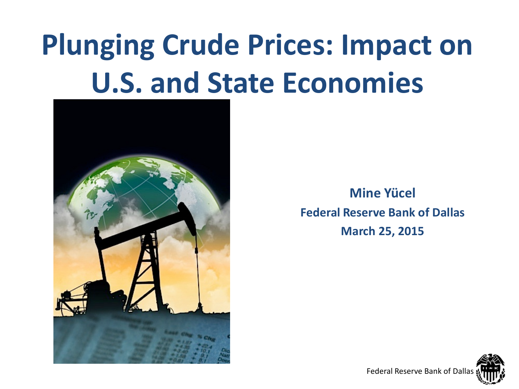# **Plunging Crude Prices: Impact on U.S. and State Economies**



**Mine Yücel Federal Reserve Bank of Dallas March 25, 2015**

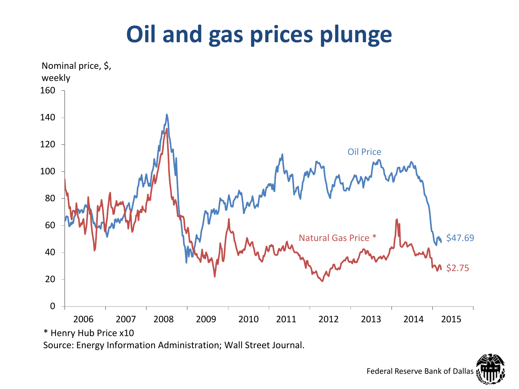### **Oil and gas prices plunge**



Source: Energy Information Administration; Wall Street Journal.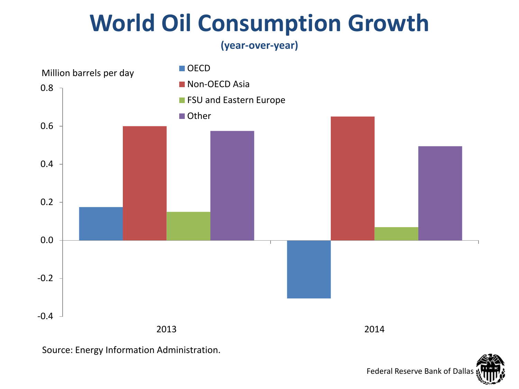#### **World Oil Consumption Growth**

**(year-over-year)**



Source: Energy Information Administration.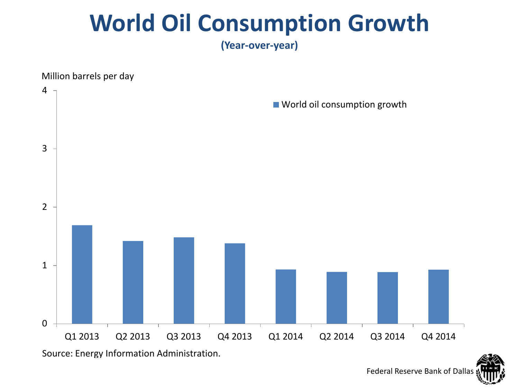#### **World Oil Consumption Growth**

**(Year-over-year)**

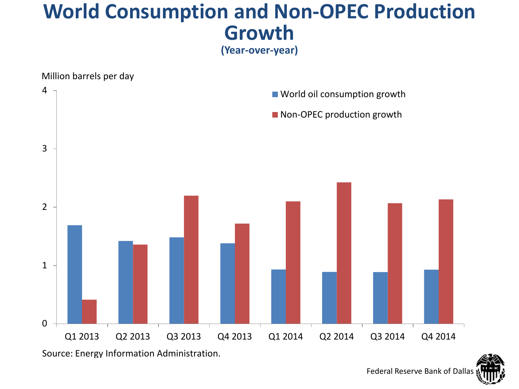#### **World Consumption and Non-OPEC Production Growth**

**(Year-over-year)**

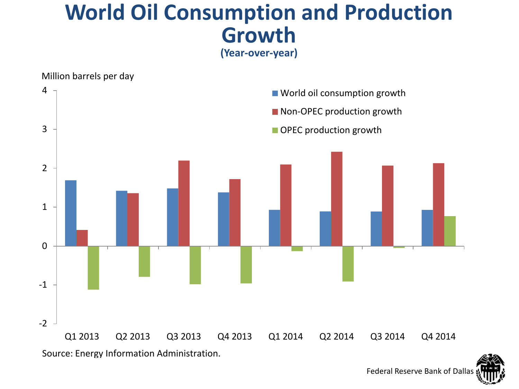#### **World Oil Consumption and Production Growth**

**(Year-over-year)**

#### -2 -1 0 1 2 3 4 Q1 2013 Q2 2013 Q3 2013 Q4 2013 Q1 2014 Q2 2014 Q3 2014 Q4 2014 World oil consumption growth Non-OPEC production growth OPEC production growth Source: Energy Information Administration. Million barrels per day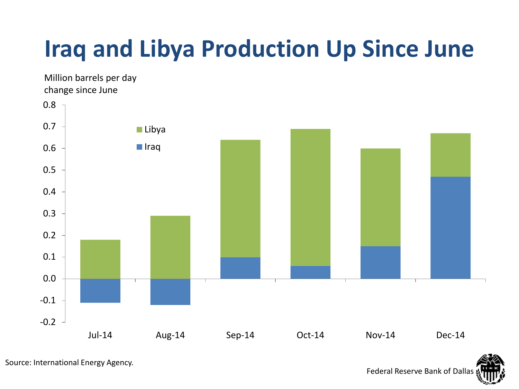### **Iraq and Libya Production Up Since June**

-0.2 -0.1 0.0 0.1 0.2 0.3 0.4 0.5 0.6 0.7 0.8 Jul-14 Aug-14 Sep-14 Oct-14 Nov-14 Dec-14 **Libya ■** Iraq Million barrels per day change since June

Source: International Energy Agency.

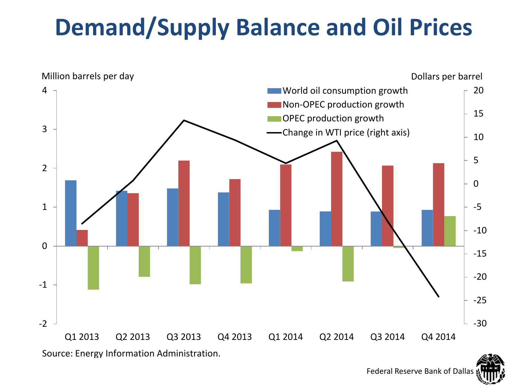### **Demand/Supply Balance and Oil Prices**

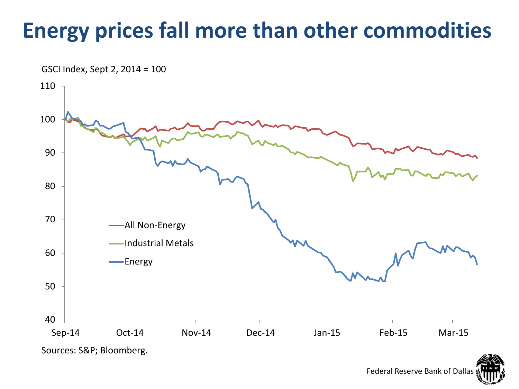#### **Energy prices fall more than other commodities**

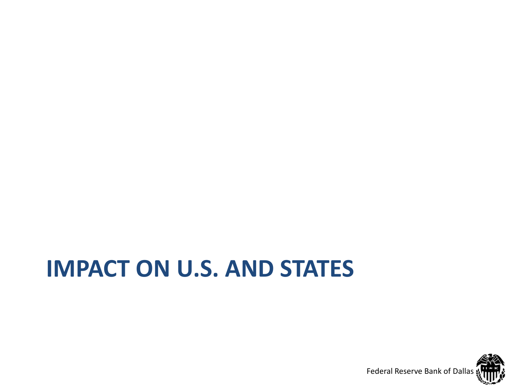#### **IMPACT ON U.S. AND STATES**

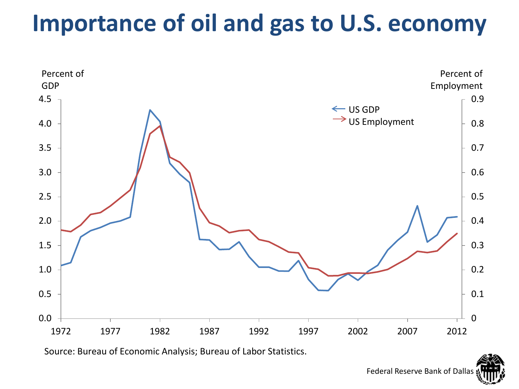#### **Importance of oil and gas to U.S. economy**



Source: Bureau of Economic Analysis; Bureau of Labor Statistics.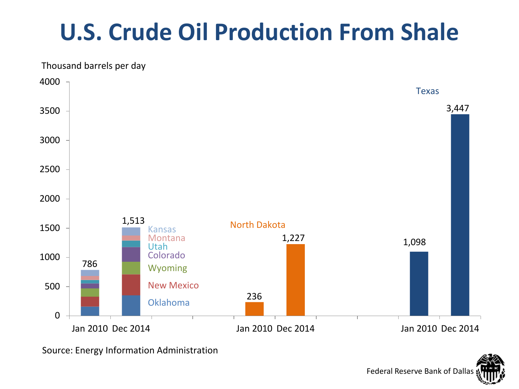### **U.S. Crude Oil Production From Shale**

Thousand barrels per day



Source: Energy Information Administration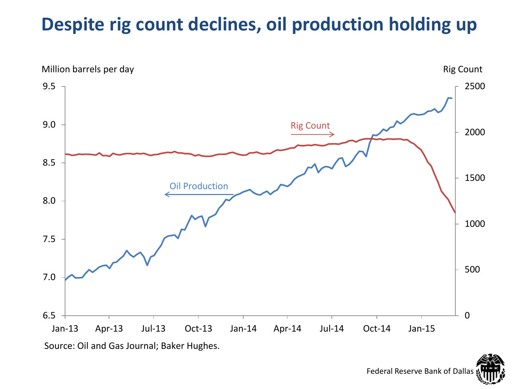#### **Despite rig count declines, oil production holding up**

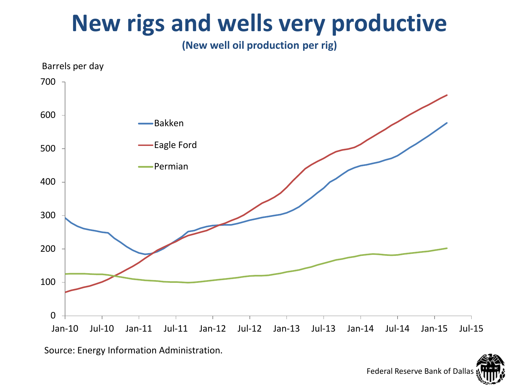#### **New rigs and wells very productive**

**(New well oil production per rig)**



Source: Energy Information Administration.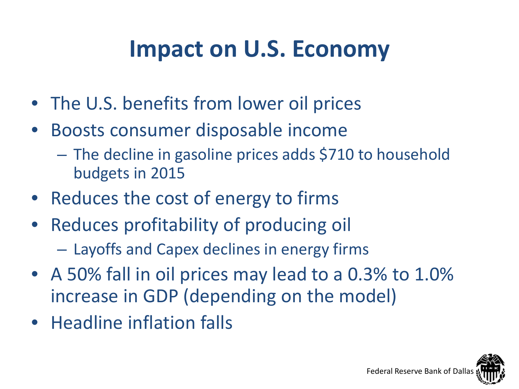#### **Impact on U.S. Economy**

- The U.S. benefits from lower oil prices
- Boosts consumer disposable income
	- The decline in gasoline prices adds \$710 to household budgets in 2015
- Reduces the cost of energy to firms
- Reduces profitability of producing oil
	- Layoffs and Capex declines in energy firms
- A 50% fall in oil prices may lead to a 0.3% to 1.0% increase in GDP (depending on the model)
- Headline inflation falls

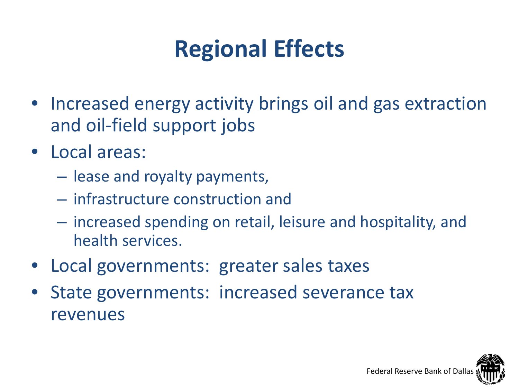### **Regional Effects**

- Increased energy activity brings oil and gas extraction and oil-field support jobs
- Local areas:
	- lease and royalty payments,
	- infrastructure construction and
	- increased spending on retail, leisure and hospitality, and health services.
- Local governments: greater sales taxes
- State governments: increased severance tax revenues

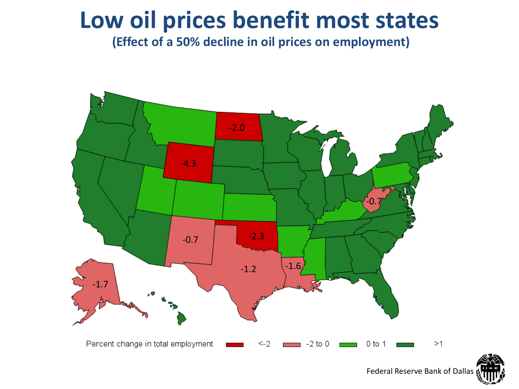#### **Low oil prices benefit most states**

**(Effect of a 50% decline in oil prices on employment)**

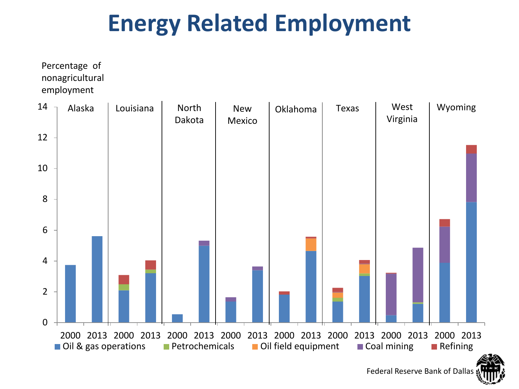#### **Energy Related Employment**

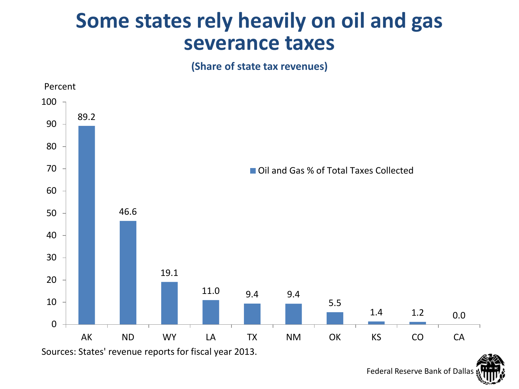#### **Some states rely heavily on oil and gas severance taxes**

**(Share of state tax revenues)** 

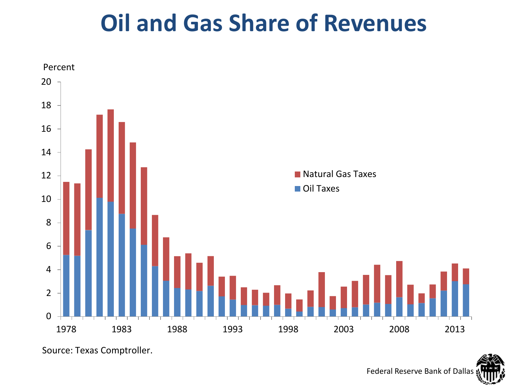#### **Oil and Gas Share of Revenues**



Source: Texas Comptroller.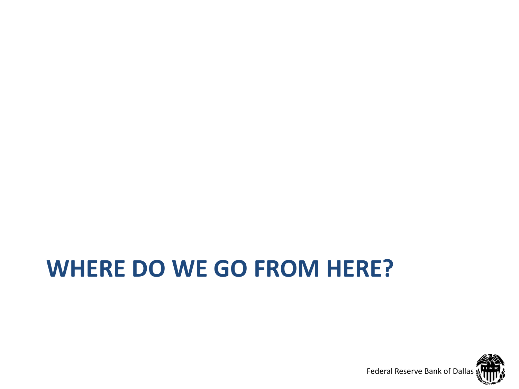### **WHERE DO WE GO FROM HERE?**

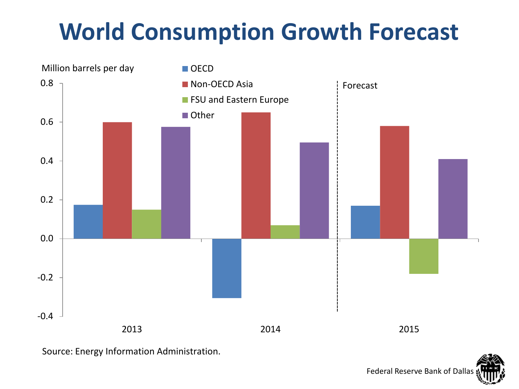#### **World Consumption Growth Forecast**



Source: Energy Information Administration.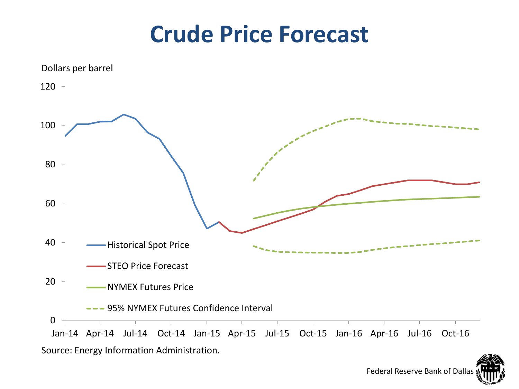#### **Crude Price Forecast**

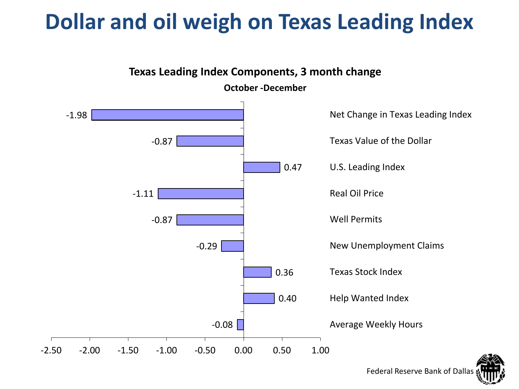#### **Dollar and oil weigh on Texas Leading Index**

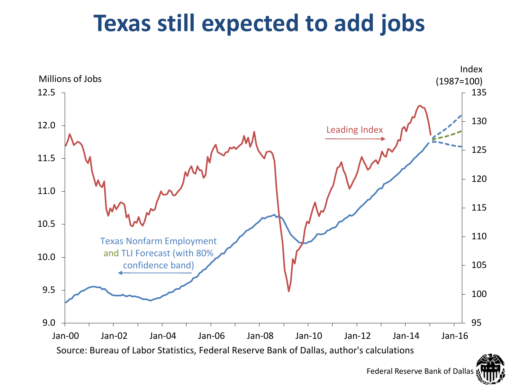#### **Texas still expected to add jobs**

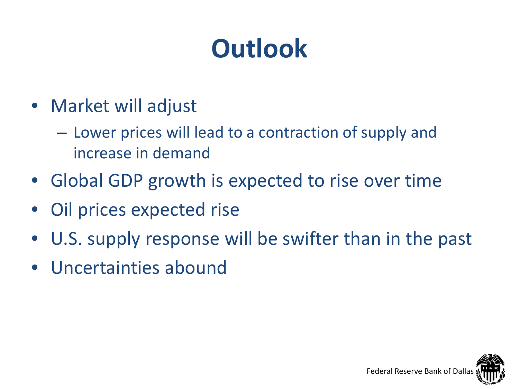## **Outlook**

- Market will adjust
	- Lower prices will lead to a contraction of supply and increase in demand
- Global GDP growth is expected to rise over time
- Oil prices expected rise
- U.S. supply response will be swifter than in the past
- Uncertainties abound